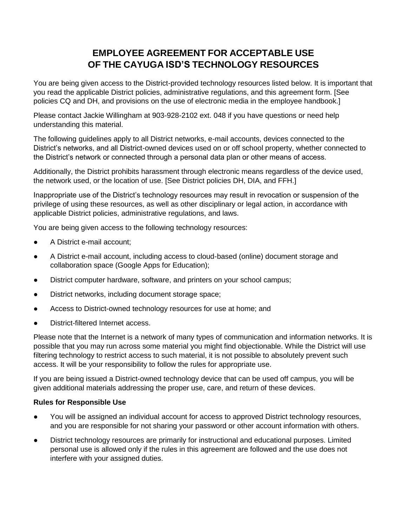# **EMPLOYEE AGREEMENT FOR ACCEPTABLE USE OF THE CAYUGA ISD'S TECHNOLOGY RESOURCES**

You are being given access to the District-provided technology resources listed below. It is important that you read the applicable District policies, administrative regulations, and this agreement form. [See policies CQ and DH, and provisions on the use of electronic media in the employee handbook.]

Please contact Jackie Willingham at 903-928-2102 ext. 048 if you have questions or need help understanding this material.

The following guidelines apply to all District networks, e-mail accounts, devices connected to the District's networks, and all District-owned devices used on or off school property, whether connected to the District's network or connected through a personal data plan or other means of access.

Additionally, the District prohibits harassment through electronic means regardless of the device used, the network used, or the location of use. [See District policies DH, DIA, and FFH.]

Inappropriate use of the District's technology resources may result in revocation or suspension of the privilege of using these resources, as well as other disciplinary or legal action, in accordance with applicable District policies, administrative regulations, and laws.

You are being given access to the following technology resources:

- A District e-mail account:
- A District e-mail account, including access to cloud-based (online) document storage and collaboration space (Google Apps for Education);
- District computer hardware, software, and printers on your school campus;
- District networks, including document storage space;
- Access to District-owned technology resources for use at home; and
- District-filtered Internet access.

Please note that the Internet is a network of many types of communication and information networks. It is possible that you may run across some material you might find objectionable. While the District will use filtering technology to restrict access to such material, it is not possible to absolutely prevent such access. It will be your responsibility to follow the rules for appropriate use.

If you are being issued a District-owned technology device that can be used off campus, you will be given additional materials addressing the proper use, care, and return of these devices.

## **Rules for Responsible Use**

- You will be assigned an individual account for access to approved District technology resources, and you are responsible for not sharing your password or other account information with others.
- District technology resources are primarily for instructional and educational purposes. Limited personal use is allowed only if the rules in this agreement are followed and the use does not interfere with your assigned duties.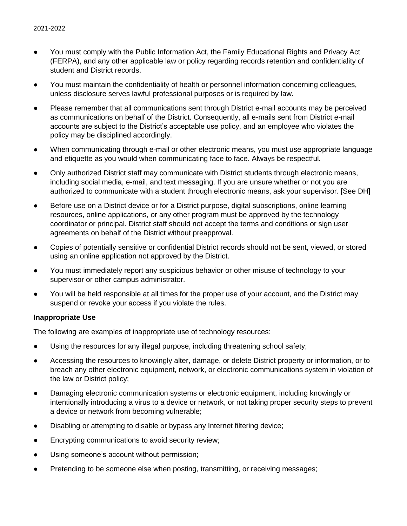- You must comply with the Public Information Act, the Family Educational Rights and Privacy Act (FERPA), and any other applicable law or policy regarding records retention and confidentiality of student and District records.
- You must maintain the confidentiality of health or personnel information concerning colleagues, unless disclosure serves lawful professional purposes or is required by law.
- Please remember that all communications sent through District e-mail accounts may be perceived as communications on behalf of the District. Consequently, all e-mails sent from District e-mail accounts are subject to the District's acceptable use policy, and an employee who violates the policy may be disciplined accordingly.
- When communicating through e-mail or other electronic means, you must use appropriate language and etiquette as you would when communicating face to face. Always be respectful.
- Only authorized District staff may communicate with District students through electronic means, including social media, e-mail, and text messaging. If you are unsure whether or not you are authorized to communicate with a student through electronic means, ask your supervisor. [See DH]
- Before use on a District device or for a District purpose, digital subscriptions, online learning resources, online applications, or any other program must be approved by the technology coordinator or principal. District staff should not accept the terms and conditions or sign user agreements on behalf of the District without preapproval.
- Copies of potentially sensitive or confidential District records should not be sent, viewed, or stored using an online application not approved by the District.
- You must immediately report any suspicious behavior or other misuse of technology to your supervisor or other campus administrator.
- You will be held responsible at all times for the proper use of your account, and the District may suspend or revoke your access if you violate the rules.

## **Inappropriate Use**

The following are examples of inappropriate use of technology resources:

- Using the resources for any illegal purpose, including threatening school safety;
- Accessing the resources to knowingly alter, damage, or delete District property or information, or to breach any other electronic equipment, network, or electronic communications system in violation of the law or District policy;
- Damaging electronic communication systems or electronic equipment, including knowingly or intentionally introducing a virus to a device or network, or not taking proper security steps to prevent a device or network from becoming vulnerable;
- Disabling or attempting to disable or bypass any Internet filtering device;
- Encrypting communications to avoid security review;
- Using someone's account without permission;
- Pretending to be someone else when posting, transmitting, or receiving messages;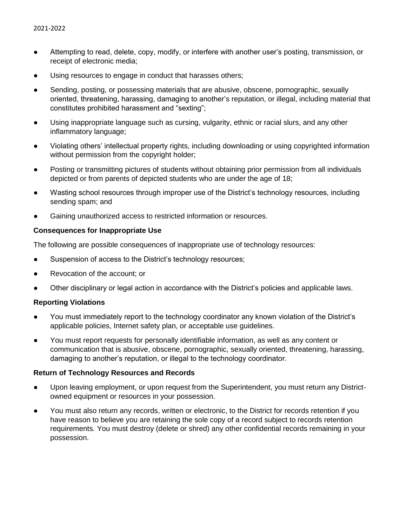- Attempting to read, delete, copy, modify, or interfere with another user's posting, transmission, or receipt of electronic media;
- Using resources to engage in conduct that harasses others;
- Sending, posting, or possessing materials that are abusive, obscene, pornographic, sexually oriented, threatening, harassing, damaging to another's reputation, or illegal, including material that constitutes prohibited harassment and "sexting";
- Using inappropriate language such as cursing, vulgarity, ethnic or racial slurs, and any other inflammatory language;
- Violating others' intellectual property rights, including downloading or using copyrighted information without permission from the copyright holder;
- Posting or transmitting pictures of students without obtaining prior permission from all individuals depicted or from parents of depicted students who are under the age of 18;
- Wasting school resources through improper use of the District's technology resources, including sending spam; and
- Gaining unauthorized access to restricted information or resources.

### **Consequences for Inappropriate Use**

The following are possible consequences of inappropriate use of technology resources:

- Suspension of access to the District's technology resources;
- Revocation of the account; or
- Other disciplinary or legal action in accordance with the District's policies and applicable laws.

#### **Reporting Violations**

- You must immediately report to the technology coordinator any known violation of the District's applicable policies, Internet safety plan, or acceptable use guidelines.
- You must report requests for personally identifiable information, as well as any content or communication that is abusive, obscene, pornographic, sexually oriented, threatening, harassing, damaging to another's reputation, or illegal to the technology coordinator.

## **Return of Technology Resources and Records**

- Upon leaving employment, or upon request from the Superintendent, you must return any Districtowned equipment or resources in your possession.
- You must also return any records, written or electronic, to the District for records retention if you have reason to believe you are retaining the sole copy of a record subject to records retention requirements. You must destroy (delete or shred) any other confidential records remaining in your possession.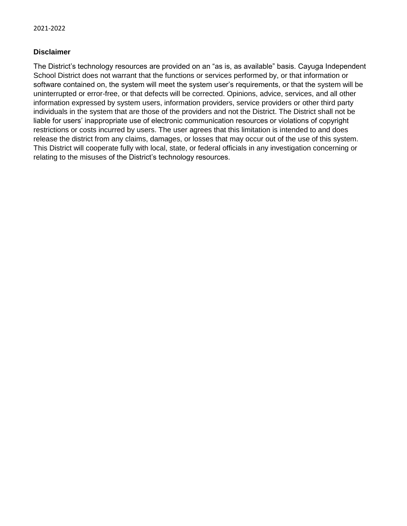## **Disclaimer**

The District's technology resources are provided on an "as is, as available" basis. Cayuga Independent School District does not warrant that the functions or services performed by, or that information or software contained on, the system will meet the system user's requirements, or that the system will be uninterrupted or error-free, or that defects will be corrected. Opinions, advice, services, and all other information expressed by system users, information providers, service providers or other third party individuals in the system that are those of the providers and not the District. The District shall not be liable for users' inappropriate use of electronic communication resources or violations of copyright restrictions or costs incurred by users. The user agrees that this limitation is intended to and does release the district from any claims, damages, or losses that may occur out of the use of this system. This District will cooperate fully with local, state, or federal officials in any investigation concerning or relating to the misuses of the District's technology resources.